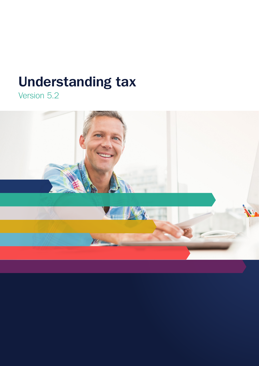# **Understanding tax**

Version 5.2

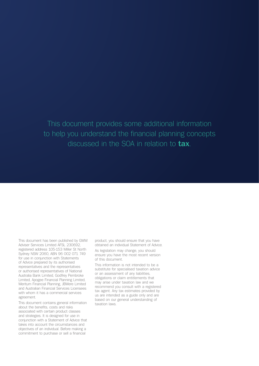# This document provides some additional information to help you understand the financial planning concepts discussed in the SOA in relation to **tax**.

This document has been published by GWM Adviser Services Limited AFSL 230692, registered address 105-153 Miller St North Sydney NSW 2060, ABN 96 002 071 749 for use in conjunction with Statements of Advice prepared by its authorised representatives and the representatives or authorised representatives of National Australia Bank Limited, Godfrey Pembroke Limited, Apogee Financial Planning Limited, Meritum Financial Planning, JBWere Limited and Australian Financial Services Licensees with whom it has a commercial services agreement.

This document contains general information about the benefits, costs and risks associated with certain product classes and strategies. It is designed for use in conjunction with a Statement of Advice that takes into account the circumstances and objectives of an individual. Before making a commitment to purchase or sell a financial

product, you should ensure that you have obtained an individual Statement of Advice.

As legislation may change, you should ensure you have the most recent version of this document.

This information is not intended to be a substitute for specialised taxation advice or an assessment of any liabilities, obligations or claim entitlements that may arise under taxation law and we recommend you consult with a registered tax agent. Any tax estimates provided by us are intended as a guide only and are based on our general understanding of taxation laws.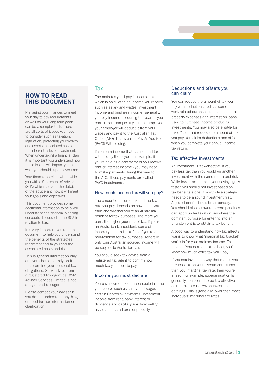# **HOW TO READ THIS DOCUMENT**

Managing your finances to meet your day to day requirements as well as your long-term goals can be a complex task. There are all sorts of issues you need to consider such as taxation, legislation, protecting your wealth and assets, associated costs and the inherent risks of investment. When undertaking a financial plan it is important you understand how these issues will impact you and what you should expect over time.

Your financial adviser will provide you with a Statement of Advice (SOA) which sets out the details of the advice and how it will meet your goals and objectives.

This document provides some additional information to help you understand the financial planning concepts discussed in the SOA in relation to **tax**.

It is very important you read this document to help you understand the benefits of the strategies recommended to you and the associated costs and risks.

This is general information only and you should not rely on it to determine your personal tax obligations. Seek advice from a registered tax agent as GWM Adviser Services Limited is not a registered tax agent.

Please contact your adviser if you do not understand anything, or need further information or clarification.

# Tax

The main tax you'll pay is income tax which is calculated on income you receive such as salary and wages, investment income and business income. Generally, you pay income tax during the year as you earn it. For example, if you're an employee your employer will deduct it from your wages and pay it to the Australian Tax Office (ATO). This is called Pay As You Go (PAYG) Withholding.

If you earn income that has not had tax withheld by the payer - for example, if you're paid as a contractor or you receive rent or interest income - you may need to make payments during the year to the ATO. These payments are called PAYG instalments.

#### How much income tax will you pay?

The amount of income tax and the tax rate you pay depends on how much you earn and whether you're an Australian resident for tax purposes. The more you earn, the higher your rate of tax. If you're an Australian tax resident, some of the income you earn is tax-free. If you're a non-resident for tax purposes, generally only your Australian sourced income will be subject to Australian tax.

You should seek tax advice from a registered tax agent to confirm how much tax you need to pay.

## Income you must declare

You pay income tax on assessable income you receive such as salary and wages, certain Centrelink payments, investment income from rent, bank interest or dividends and capital gains from selling assets such as shares or property.

#### Deductions and offsets you can claim

You can reduce the amount of tax you pay with deductions such as some work-related expenses, donations, rental property expenses and interest on loans used to purchase income producing investments. You may also be eligible for tax offsets that reduce the amount of tax you pay. You claim deductions and offsets when you complete your annual income tax return.

# Tax effective investments

An investment is 'tax-effective' if you pay less tax than you would on another investment with the same return and risk. While lower tax can help your savings grow faster, you should not invest based on tax benefits alone. A worthwhile strategy needs to be a sound investment first. Any tax benefit should be secondary. You should also be aware severe penalties can apply under taxation law where the dominant purpose for entering into an arrangement is to obtain a tax benefit.

A good way to understand how tax affects you is to know what 'marginal tax bracket' you're in for your ordinary income. This means if you earn an extra dollar, you'll know how much extra tax you'll pay.

If you can invest in a way that means you pay less tax on your investment returns than your marginal tax rate, then you're ahead. For example, superannuation is generally considered to be tax-effective as the tax rate is 15% on investment earnings. This is generally lower than most individuals' marginal tax rates.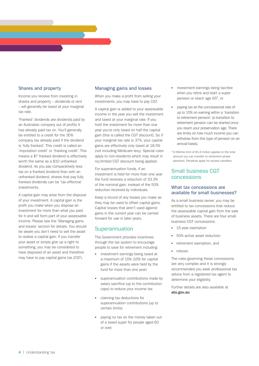# Shares and property

Income you receive from investing in shares and property – dividends or rent – will generally be taxed at your marginal tax rate.

'Franked' dividends are dividends paid by an Australian company out of profits it has already paid tax on. You'll generally be entitled to a credit for the 30% company tax already paid if the dividend is 'fully franked'. This credit is called an 'imputation credit' or 'franking credit'. This means a \$7 franked dividend is effectively worth the same as a \$10 unfranked dividend. As you pay comparatively less tax on a franked dividend than with an unfranked dividend, shares that pay fully franked dividends can be 'tax effective' investments.

A capital gain may arise from the disposal of your investment. A capital gain is the profit you make when you dispose an investment for more than what you paid for it and will form part of your assessable income. Please see the 'Managing gains and losses' section for details. You should be aware you don't need to sell the asset to realise a capital gain. If you transfer your asset or simply give up a right to something, you may be considered to have disposed of an asset and therefore may have to pay capital gains tax (CGT).

## Managing gains and losses

When you make a profit from selling your investments, you may have to pay CGT.

A capital gain is added to your assessable income in the year you sell the investment and taxed at your marginal rate. If you hold the investment for more than one year you're only taxed on half the capital gain (this is called the CGT discount). So if your marginal tax rate is 37%, your capital gains are effectively only taxed at 18.5% (not including Medicare levy). Special rules apply to non-residents which may result in no/limited CGT discount being applied.

For superannuation funds, if an investment is held for more than one year the fund receives a reduction of 33.3% of the nominal gain, instead of the 50% reduction received by individuals.

Keep a record of any losses you make as they may be used to offset capital gains. Capital losses that aren't used against gains in the current year can be carried forward for use in later years.

# **Superannuation**

The Government provides incentives through the tax system to encourage people to save for retirement including:

- investment earnings being taxed at a maximum of 15% (10% for capital gains if the assets were held by the fund for more than one year)
- superannuation contributions made by salary sacrifice (up to the contribution caps) to reduce your income tax
- claiming tax deductions for superannuation contributions (up to certain limits)
- paying no tax on the money taken out of a taxed super for people aged 60 or over,
- investment earnings being tax-free when you retire and start a super pension or reach age  $65<sup>1</sup>$ , or
- paying tax at the concessional rate of up to 15% on earning within a 'transition to retirement pension' (a transition to retirement pension can be started once you reach your preservation age. There are limits on how much income you can withdraw from this type of pension on an annual basis).

1.A lifetime limit of \$1.6 million applies to the total amount you can transfer to retirement phase pensions. Penalties apply for excess transfers.

# Small business CGT concessions

#### What tax concessions are available for small businesses?

As a small business owner, you may be entitled to tax concessions that reduce the assessable capital gain from the sale of business assets. There are four small business CGT concessions:

- 15-year exemption
- 50% active asset reduction
- retirement exemption, and
- rollover.

The rules governing these concessions are very complex and it is strongly recommended you seek professional tax advice from a registered tax agent to determine your eligibility.

Further details are also available at **ato.gov.au**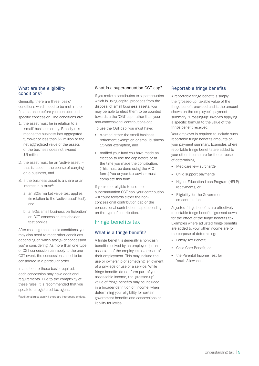#### What are the eligibility conditions?

Generally, there are three 'basic' conditions which need to be met in the first instance before you consider each specific concession. The conditions are:

- 1. the asset must be in relation to a 'small' business entity. Broadly this means the business has aggregated turnover of less than \$2 million or the net aggregated value of the assets of the business does not exceed \$6 million
- 2. the asset must be an 'active asset' that is, used in the course of carrying on a business, and
- 3. if the business asset is a share or an interest in a trust<sup>2</sup>:
	- a. an 80% market value test applies (in relation to the 'active asset' test), and
	- b. a '90% small business participation' or 'CGT concession stakeholder' test applies.

After meeting these basic conditions, you may also need to meet other conditions depending on which type(s) of concession you're considering. As more than one type of CGT concession can apply to the one CGT event, the concessions need to be considered in a particular order.

In addition to these basic required, each concession may have additional requirements. Due to the complexity of these rules, it is recommended that you speak to a registered tax agent.

2.Additional rules apply if there are interposed entities.

#### What is a superannuation CGT cap?

If you make a contribution to superannuation which is using capital proceeds from the disposal of small business assets, you may be able to elect them to be counted towards a the 'CGT cap' rather than your non-concessional contributions cap.

To use the CGT cap, you must have:

- claimed either the small business retirement exemption or small business 15-year exemption, and
- notified your fund you have made an election to use the cap before or at the time you made the contribution. (This must be done using the ATO form.) You or your tax adviser must complete this form.

If you're not eligible to use the superannuation CGT cap, your contribution will count towards either the nonconcessional contribution cap or the concessional contribution cap depending on the type of contribution.

# Fringe benefits tax

## What is a fringe benefit?

A fringe benefit is generally a non-cash benefit received by an employee (or an associate of the employee) as a result of their employment. This may include the use or ownership of something, enjoyment of a privilege or use of a service. While fringe benefits do not form part of your assessable income, the 'grossed-up' value of fringe benefits may be included in a broader definition of 'income' when determining your eligibility for certain government benefits and concessions or liability for levies.

#### Reportable fringe benefits

A reportable fringe benefit is simply the 'grossed-up' taxable value of the fringe benefit provided and is the amount shown on the employee's payment summary. 'Grossing-up' involves applying a specific formula to the value of the fringe benefit received.

Your employer is required to include such reportable fringe benefits amounts on your payment summary. Examples where reportable fringe benefits are added to your other income are for the purpose of determining:

- Medicare levy surcharge
- Child support payments
- Higher Education Loan Program (HELP) repayments, or
- Eligibility for the Government co-contribution.

Adjusted fringe benefits are effectively reportable fringe benefits 'grossed-down' for the effect of the fringe benefits tax. Examples where adjusted fringe benefits are added to your other income are for the purpose of determining:

- Family Tax Benefit
- Child Care Benefit, or
- the Parental Income Test for Youth Allowance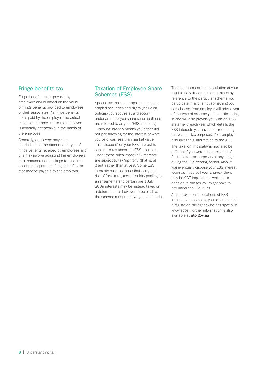# Fringe benefits tax

Fringe benefits tax is payable by employers and is based on the value of fringe benefits provided to employees or their associates. As fringe benefits tax is paid by the employer, the actual fringe benefit provided to the employee is generally not taxable in the hands of the employee.

Generally, employers may place restrictions on the amount and type of fringe benefits received by employees and this may involve adjusting the employee's total remuneration package to take into account any potential fringe benefits tax that may be payable by the employer.

# Taxation of Employee Share Schemes (ESS)

Special tax treatment applies to shares, stapled securities and rights (including options) you acquire at a 'discount' under an employee share scheme (these are referred to as your 'ESS interests'). 'Discount' broadly means you either did not pay anything for the interest or what you paid was less than market value. This 'discount' on your ESS interest is subject to tax under the ESS tax rules. Under these rules, most ESS interests are subject to tax 'up front' (that is, at grant) rather than at vest. Some ESS interests such as those that carry 'real risk of forfeiture', certain salary packaging arrangements and certain pre 1 July 2009 interests may be instead taxed on a deferred basis however to be eligible, the scheme must meet very strict criteria. The tax treatment and calculation of your taxable ESS discount is determined by reference to the particular scheme you participate in and is not something you can choose. Your employer will advise you of the type of scheme you're participating in and will also provide you with an 'ESS statement' each year which details the ESS interests you have acquired during the year for tax purposes. Your employer also gives this information to the ATO.

The taxation implications may also be different if you were a non-resident of Australia for tax purposes at any stage during the ESS vesting period. Also, if you eventually dispose your ESS interest (such as if you sell your shares), there may be CGT implications which is in addition to the tax you might have to pay under the ESS rules.

As the taxation implications of ESS interests are complex, you should consult a registered tax agent who has specialist knowledge. Further information is also available at **ato.gov.au**